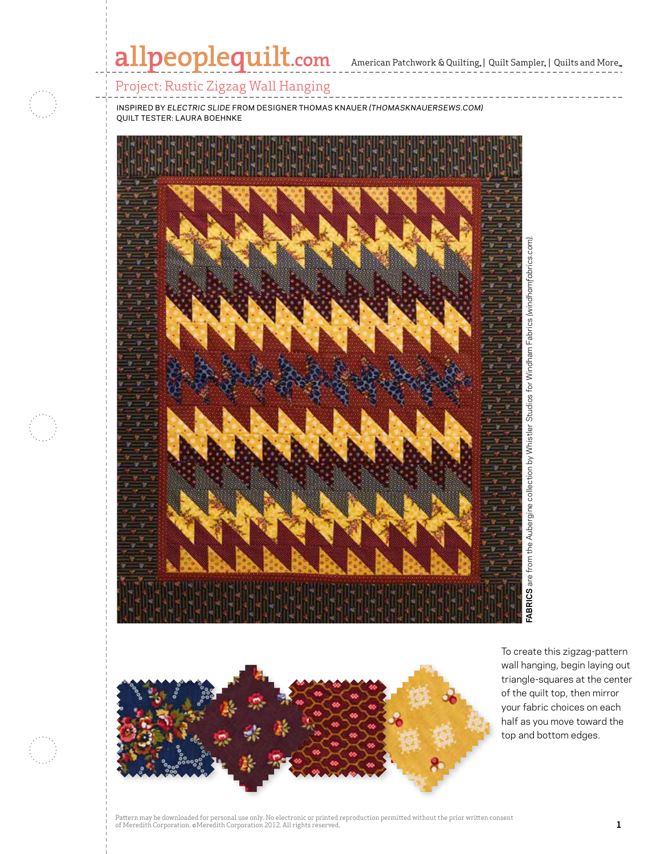# allpeoplequilt.com

American Patchwork & Quilting,  $|$  Quilt Sampler,  $|$  Quilts and More,



Project: Rustic Zigzag Wall Hanging

inspired by *electric slide* from designer thomas knauer *(thomasknauersews.com)* quilt tester: Laura Boehnke





To create this zigzag-pattern wall hanging, begin laying out triangle-squares at the center of the quilt top, then mirror your fabric choices on each half as you move toward the top and bottom edges.

Pattern may be downloaded for personal use only. No electronic or printed reproduction permitted without the prior written consent of Meredith Corporation. ©Meredith Corporation 2012. All rights reserved. **1**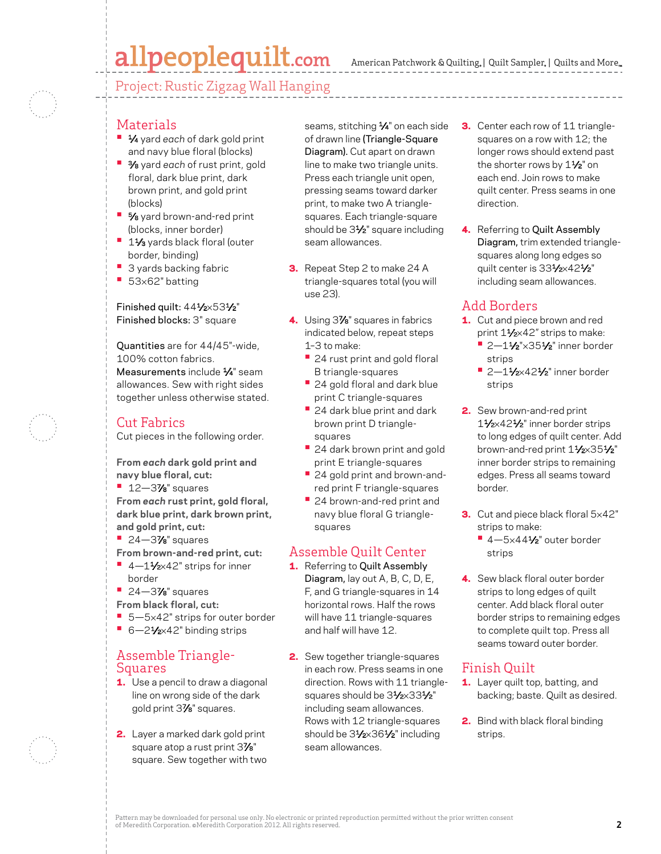# allpeoplequilt.com

American Patchwork & Quilting,  $|$  Quilt Sampler,  $|$  Quilts and More,

Project: Rustic Zigzag Wall Hanging



#### **Materials**

- **•**  1⁄4 yard *each* of dark gold print and navy blue floral (blocks)
- **•**  3⁄8 yard *each* of rust print, gold floral, dark blue print, dark brown print, and gold print (blocks)
- **5/8** yard brown-and-red print (blocks, inner border)
- **<sup>■</sup>** 1½ yards black floral (outer border, binding)
- **3 yards backing fabric**
- **•**  <sup>53</sup>×62" batting

Finished quilt: 441/2×531/2" Finished blocks: 3" square

Quantities are for 44/45"-wide, 100% cotton fabrics. Measurements include  $\frac{1}{4}$ " seam allowances. Sew with right sides together unless otherwise stated.

### Cut Fabrics

Cut pieces in the following order.

**From** *each* **dark gold print and navy blue floral, cut:**

**•**  12—37⁄8" squares

**From** *each* **rust print, gold floral, dark blue print, dark brown print, and gold print, cut:**

- **•**  24—37⁄8" squares
- **From brown-and-red print, cut:**
- 4-11⁄2×42" strips for inner border
- **•**  24—37⁄8" squares
- **From black floral, cut:**
- 5-5×42" strips for outer border
- 6-21⁄<sub>2×42</sub>" binding strips

#### Assemble Triangle-Squares

- **1.** Use a pencil to draw a diagonal line on wrong side of the dark gold print 37⁄8" squares.
- 2. Layer a marked dark gold print square atop a rust print 37/8" square. Sew together with two

seams, stitching 1/4" on each side of drawn line (Triangle-Square Diagram). Cut apart on drawn line to make two triangle units. Press each triangle unit open, pressing seams toward darker print, to make two A trianglesquares. Each triangle-square should be 31/<sub>2</sub>" square including seam allowances.

- **3.** Repeat Step 2 to make 24 A triangle-squares total (you will use 23).
- 4. Using 3%" squares in fabrics indicated below, repeat steps 1–3 to make:
	- **•** 24 rust print and gold floral B triangle-squares
	- **•** 24 gold floral and dark blue print C triangle-squares
	- **•** 24 dark blue print and dark brown print D trianglesquares
	- **•** 24 dark brown print and gold print E triangle-squares
	- **•** 24 gold print and brown-andred print F triangle-squares
	- **•** 24 brown-and-red print and navy blue floral G trianglesquares

### Assemble Quilt Center

- 1. Referring to Quilt Assembly Diagram, lay out A, B, C, D, E, F, and G triangle-squares in 14 horizontal rows. Half the rows will have 11 triangle-squares and half will have 12.
- 2. Sew together triangle-squares in each row. Press seams in one direction. Rows with 11 trianglesquares should be 31/2×331/2" including seam allowances. Rows with 12 triangle-squares should be 31⁄2×361⁄2" including seam allowances.
- **3.** Center each row of 11 trianglesquares on a row with 12; the longer rows should extend past the shorter rows by 1<sup>1/2"</sup> on each end. Join rows to make quilt center. Press seams in one direction.
- 4. Referring to Quilt Assembly Diagram, trim extended trianglesquares along long edges so quilt center is 331/2×421/2" including seam allowances.

#### Add Borders

- 1. Cut and piece brown and red print 11/2×42" strips to make:
	- **•** 2-11/<sub>2</sub>"×351/<sub>2</sub>" inner border strips
	- **•** 2-11/<sub>2×</sub>421/<sub>2</sub>" inner border strips
- 2. Sew brown-and-red print 11⁄2×421⁄2" inner border strips to long edges of quilt center. Add brown-and-red print 11/2×351/2" inner border strips to remaining edges. Press all seams toward border.
- **3.** Cut and piece black floral 5x42" strips to make:
	- **•** 4—5×441⁄2" outer border strips
- 4. Sew black floral outer border strips to long edges of quilt center. Add black floral outer border strips to remaining edges to complete quilt top. Press all seams toward outer border.

## Finish Quilt

- 1. Layer quilt top, batting, and backing; baste. Quilt as desired.
- 2. Bind with black floral binding strips.